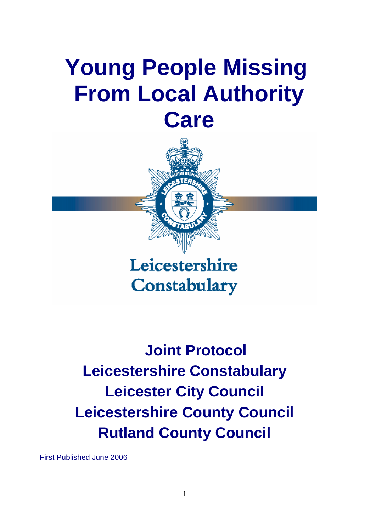# **Young People Missing From Local Authority Care**



Leicestershire Constabulary

**Joint Protocol Leicestershire Constabulary Leicester City Council Leicestershire County Council Rutland County Council** 

First Published June 2006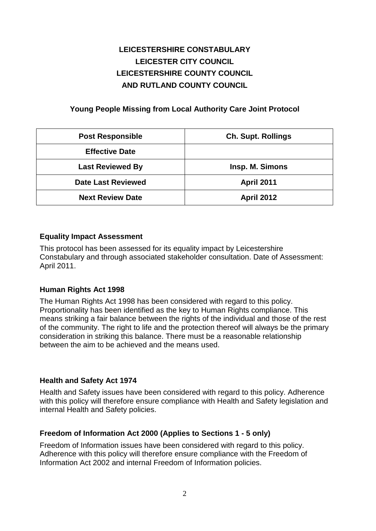# **LEICESTERSHIRE CONSTABULARY LEICESTER CITY COUNCIL LEICESTERSHIRE COUNTY COUNCIL AND RUTLAND COUNTY COUNCIL**

## **Young People Missing from Local Authority Care Joint Protocol**

| <b>Post Responsible</b>   | <b>Ch. Supt. Rollings</b> |
|---------------------------|---------------------------|
| <b>Effective Date</b>     |                           |
| <b>Last Reviewed By</b>   | Insp. M. Simons           |
| <b>Date Last Reviewed</b> | <b>April 2011</b>         |
| <b>Next Review Date</b>   | <b>April 2012</b>         |

## **Equality Impact Assessment**

This protocol has been assessed for its equality impact by Leicestershire Constabulary and through associated stakeholder consultation. Date of Assessment: April 2011.

## **Human Rights Act 1998**

The Human Rights Act 1998 has been considered with regard to this policy. Proportionality has been identified as the key to Human Rights compliance. This means striking a fair balance between the rights of the individual and those of the rest of the community. The right to life and the protection thereof will always be the primary consideration in striking this balance. There must be a reasonable relationship between the aim to be achieved and the means used.

## **Health and Safety Act 1974**

Health and Safety issues have been considered with regard to this policy. Adherence with this policy will therefore ensure compliance with Health and Safety legislation and internal Health and Safety policies.

## **Freedom of Information Act 2000 (Applies to Sections 1 - 5 only)**

Freedom of Information issues have been considered with regard to this policy. Adherence with this policy will therefore ensure compliance with the Freedom of Information Act 2002 and internal Freedom of Information policies.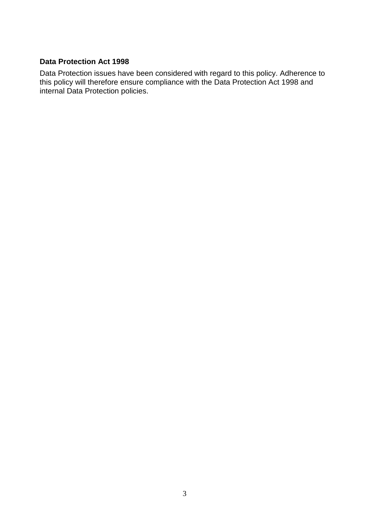## **Data Protection Act 1998**

Data Protection issues have been considered with regard to this policy. Adherence to this policy will therefore ensure compliance with the Data Protection Act 1998 and internal Data Protection policies.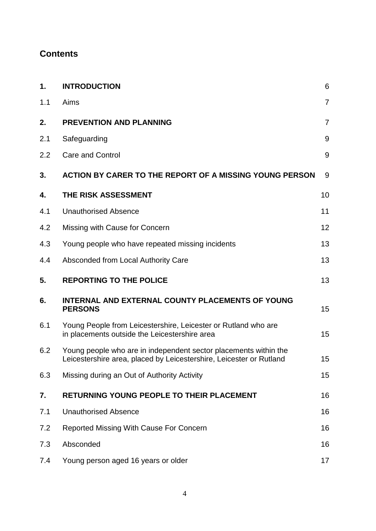# <span id="page-3-0"></span>**Contents**

| 1.  | <b>INTRODUCTION</b>                                                                                                                     | 6              |
|-----|-----------------------------------------------------------------------------------------------------------------------------------------|----------------|
| 1.1 | Aims                                                                                                                                    | $\overline{7}$ |
| 2.  | <b>PREVENTION AND PLANNING</b>                                                                                                          | $\overline{7}$ |
| 2.1 | Safeguarding                                                                                                                            | 9              |
| 2.2 | <b>Care and Control</b>                                                                                                                 | 9              |
| 3.  | ACTION BY CARER TO THE REPORT OF A MISSING YOUNG PERSON                                                                                 | 9              |
| 4.  | THE RISK ASSESSMENT                                                                                                                     | 10             |
| 4.1 | <b>Unauthorised Absence</b>                                                                                                             | 11             |
| 4.2 | Missing with Cause for Concern                                                                                                          | 12             |
| 4.3 | Young people who have repeated missing incidents                                                                                        | 13             |
| 4.4 | Absconded from Local Authority Care                                                                                                     | 13             |
| 5.  | <b>REPORTING TO THE POLICE</b>                                                                                                          | 13             |
| 6.  | INTERNAL AND EXTERNAL COUNTY PLACEMENTS OF YOUNG<br><b>PERSONS</b>                                                                      | 15             |
| 6.1 | Young People from Leicestershire, Leicester or Rutland who are<br>in placements outside the Leicestershire area                         | 15             |
| 6.2 | Young people who are in independent sector placements within the<br>Leicestershire area, placed by Leicestershire, Leicester or Rutland | 15             |
| 6.3 | Missing during an Out of Authority Activity                                                                                             | 15             |
| 7.  | <b>RETURNING YOUNG PEOPLE TO THEIR PLACEMENT</b>                                                                                        | 16             |
| 7.1 | <b>Unauthorised Absence</b>                                                                                                             | 16             |
| 7.2 | Reported Missing With Cause For Concern                                                                                                 | 16             |
| 7.3 | Absconded                                                                                                                               | 16             |
| 7.4 | Young person aged 16 years or older                                                                                                     | 17             |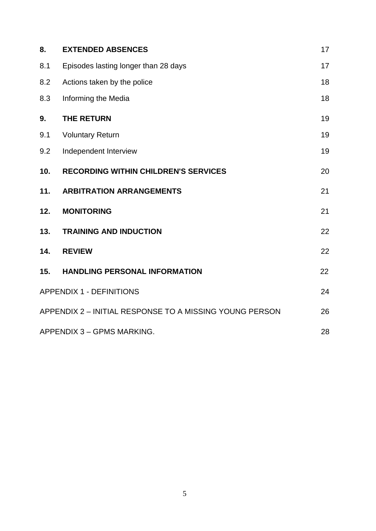| 8.  | <b>EXTENDED ABSENCES</b>                                | 17 |
|-----|---------------------------------------------------------|----|
| 8.1 | Episodes lasting longer than 28 days                    | 17 |
| 8.2 | Actions taken by the police                             | 18 |
| 8.3 | Informing the Media                                     | 18 |
| 9.  | <b>THE RETURN</b>                                       | 19 |
| 9.1 | <b>Voluntary Return</b>                                 | 19 |
| 9.2 | Independent Interview                                   | 19 |
| 10. | <b>RECORDING WITHIN CHILDREN'S SERVICES</b>             | 20 |
| 11. | <b>ARBITRATION ARRANGEMENTS</b>                         | 21 |
| 12. | <b>MONITORING</b>                                       | 21 |
| 13. | <b>TRAINING AND INDUCTION</b>                           | 22 |
| 14. | <b>REVIEW</b>                                           | 22 |
| 15. | <b>HANDLING PERSONAL INFORMATION</b>                    | 22 |
|     | <b>APPENDIX 1 - DEFINITIONS</b>                         | 24 |
|     | APPENDIX 2 - INITIAL RESPONSE TO A MISSING YOUNG PERSON | 26 |
|     | APPENDIX 3 - GPMS MARKING.                              | 28 |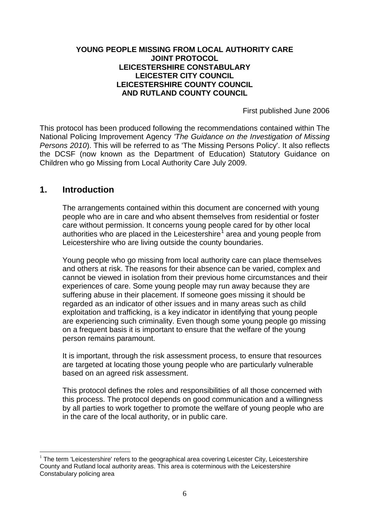## **YOUNG PEOPLE MISSING FROM LOCAL AUTHORITY CARE JOINT PROTOCOL LEICESTERSHIRE CONSTABULARY LEICESTER CITY COUNCIL LEICESTERSHIRE COUNTY COUNCIL AND RUTLAND COUNTY COUNCIL**

First published June 2006

This protocol has been produced following the recommendations contained within The National Policing Improvement Agency *'The Guidance on the Investigation of Missing Persons 2010*). This will be referred to as 'The Missing Persons Policy'. It also reflects the DCSF (now known as the Department of Education) Statutory Guidance on Children who go Missing from Local Authority Care July 2009.

# <span id="page-5-0"></span>**1. Introduction**

-

The arrangements contained within this document are concerned with young people who are in care and who absent themselves from residential or foster care without permission. It concerns young people cared for by other local authorities who are placed in the Leicestershire<sup>[1](#page-5-1)</sup> area and young people from Leicestershire who are living outside the county boundaries.

Young people who go missing from local authority care can place themselves and others at risk. The reasons for their absence can be varied, complex and cannot be viewed in isolation from their previous home circumstances and their experiences of care. Some young people may run away because they are suffering abuse in their placement. If someone goes missing it should be regarded as an indicator of other issues and in many areas such as child exploitation and trafficking, is a key indicator in identifying that young people are experiencing such criminality. Even though some young people go missing on a frequent basis it is important to ensure that the welfare of the young person remains paramount.

It is important, through the risk assessment process, to ensure that resources are targeted at locating those young people who are particularly vulnerable based on an agreed risk assessment.

This protocol defines the roles and responsibilities of all those concerned with this process. The protocol depends on good communication and a willingness by all parties to work together to promote the welfare of young people who are in the care of the local authority, or in public care.

<span id="page-5-1"></span> $1$  The term 'Leicestershire' refers to the geographical area covering Leicester City, Leicestershire County and Rutland local authority areas. This area is coterminous with the Leicestershire Constabulary policing area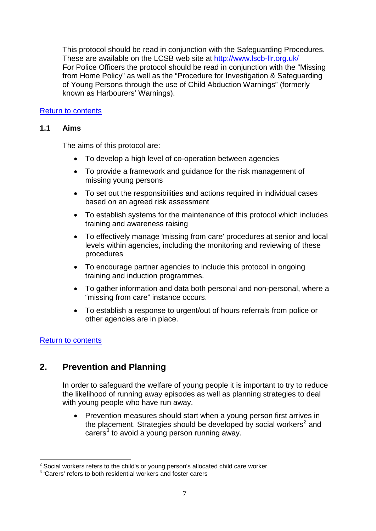This protocol should be read in conjunction with the Safeguarding Procedures. These are available on the LCSB web site at http://www.lscb-llr.org.uk/ For Police Officers the protocol should be read in conjunction with the "Missing from Home Policy" as well as the "Procedure for Investigation & Safeguarding of Young Persons through the use of Child Abduction Warnings" (formerly known as Harbourers' Warnings).

## <span id="page-6-0"></span>[Return to contents](#page-3-0)

## **1.1 Aims**

The aims of this protocol are:

- To develop a high level of co-operation between agencies
- To provide a framework and guidance for the risk management of missing young persons
- To set out the responsibilities and actions required in individual cases based on an agreed risk assessment
- To establish systems for the maintenance of this protocol which includes training and awareness raising
- To effectively manage 'missing from care' procedures at senior and local levels within agencies, including the monitoring and reviewing of these procedures
- To encourage partner agencies to include this protocol in ongoing training and induction programmes.
- To gather information and data both personal and non-personal, where a "missing from care" instance occurs.
- To establish a response to urgent/out of hours referrals from police or other agencies are in place.

## [Return to contents](#page-3-0)

# <span id="page-6-1"></span>**2. Prevention and Planning**

In order to safeguard the welfare of young people it is important to try to reduce the likelihood of running away episodes as well as planning strategies to deal with young people who have run away.

• Prevention measures should start when a young person first arrives in the placement. Strategies should be developed by social workers<sup>[2](#page-6-2)</sup> and carers $3$  to avoid a young person running away.

<sup>-</sup> $2$  Social workers refers to the child's or young person's allocated child care worker

<span id="page-6-3"></span><span id="page-6-2"></span><sup>&</sup>lt;sup>3</sup> 'Carers' refers to both residential workers and foster carers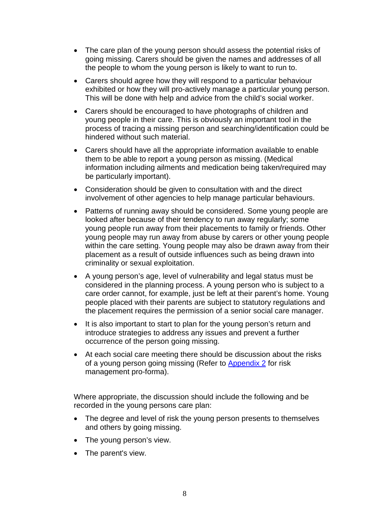- The care plan of the young person should assess the potential risks of going missing. Carers should be given the names and addresses of all the people to whom the young person is likely to want to run to.
- Carers should agree how they will respond to a particular behaviour exhibited or how they will pro-actively manage a particular young person. This will be done with help and advice from the child's social worker.
- Carers should be encouraged to have photographs of children and young people in their care. This is obviously an important tool in the process of tracing a missing person and searching/identification could be hindered without such material.
- Carers should have all the appropriate information available to enable them to be able to report a young person as missing. (Medical information including ailments and medication being taken/required may be particularly important).
- Consideration should be given to consultation with and the direct involvement of other agencies to help manage particular behaviours.
- Patterns of running away should be considered. Some young people are looked after because of their tendency to run away regularly; some young people run away from their placements to family or friends. Other young people may run away from abuse by carers or other young people within the care setting. Young people may also be drawn away from their placement as a result of outside influences such as being drawn into criminality or sexual exploitation.
- A young person's age, level of vulnerability and legal status must be considered in the planning process. A young person who is subject to a care order cannot, for example, just be left at their parent's home. Young people placed with their parents are subject to statutory regulations and the placement requires the permission of a senior social care manager.
- It is also important to start to plan for the young person's return and introduce strategies to address any issues and prevent a further occurrence of the person going missing.
- At each social care meeting there should be discussion about the risks of a young person going missing (Refer to [Appendix 2](#page-25-1) for risk management pro-forma).

Where appropriate, the discussion should include the following and be recorded in the young persons care plan:

- The degree and level of risk the young person presents to themselves and others by going missing.
- The young person's view.
- The parent's view.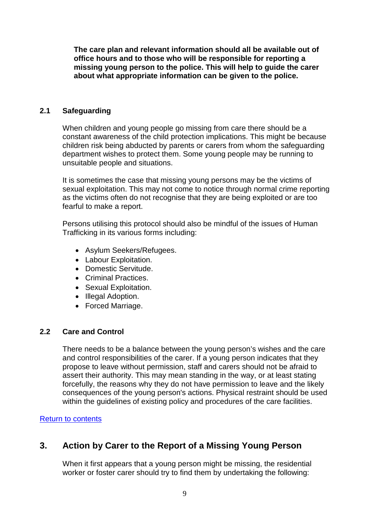**The care plan and relevant information should all be available out of office hours and to those who will be responsible for reporting a missing young person to the police. This will help to guide the carer about what appropriate information can be given to the police.** 

#### <span id="page-8-0"></span>**2.1 Safeguarding**

When children and young people go missing from care there should be a constant awareness of the child protection implications. This might be because children risk being abducted by parents or carers from whom the safeguarding department wishes to protect them. Some young people may be running to unsuitable people and situations.

It is sometimes the case that missing young persons may be the victims of sexual exploitation. This may not come to notice through normal crime reporting as the victims often do not recognise that they are being exploited or are too fearful to make a report.

Persons utilising this protocol should also be mindful of the issues of Human Trafficking in its various forms including:

- Asylum Seekers/Refugees.
- Labour Exploitation.
- Domestic Servitude.
- Criminal Practices.
- Sexual Exploitation.
- Illegal Adoption.
- Forced Marriage.

#### <span id="page-8-1"></span>**2.2 Care and Control**

There needs to be a balance between the young person's wishes and the care and control responsibilities of the carer. If a young person indicates that they propose to leave without permission, staff and carers should not be afraid to assert their authority. This may mean standing in the way, or at least stating forcefully, the reasons why they do not have permission to leave and the likely consequences of the young person's actions. Physical restraint should be used within the guidelines of existing policy and procedures of the care facilities.

## [Return to contents](#page-3-0)

# <span id="page-8-2"></span>**3. Action by Carer to the Report of a Missing Young Person**

When it first appears that a young person might be missing, the residential worker or foster carer should try to find them by undertaking the following: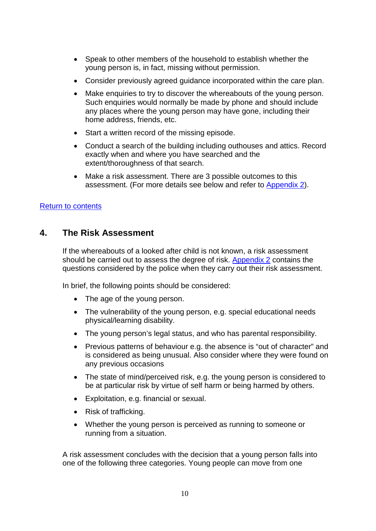- Speak to other members of the household to establish whether the young person is, in fact, missing without permission.
- Consider previously agreed guidance incorporated within the care plan.
- Make enquiries to try to discover the whereabouts of the young person. Such enquiries would normally be made by phone and should include any places where the young person may have gone, including their home address, friends, etc.
- Start a written record of the missing episode.
- Conduct a search of the building including outhouses and attics. Record exactly when and where you have searched and the extent/thoroughness of that search.
- Make a risk assessment. There are 3 possible outcomes to this assessment. (For more details see below and refer to [Appendix 2\)](#page-25-1).

## [Return to contents](#page-3-0)

# <span id="page-9-0"></span>**4. The Risk Assessment**

If the whereabouts of a looked after child is not known, a risk assessment should be carried out to assess the degree of risk. [Appendix 2](#page-25-1) contains the questions considered by the police when they carry out their risk assessment.

In brief, the following points should be considered:

- The age of the young person.
- The vulnerability of the young person, e.g. special educational needs physical/learning disability.
- The young person's legal status, and who has parental responsibility.
- Previous patterns of behaviour e.g. the absence is "out of character" and is considered as being unusual. Also consider where they were found on any previous occasions
- The state of mind/perceived risk, e.g. the young person is considered to be at particular risk by virtue of self harm or being harmed by others.
- Exploitation, e.g. financial or sexual.
- Risk of trafficking.
- Whether the young person is perceived as running to someone or running from a situation.

A risk assessment concludes with the decision that a young person falls into one of the following three categories. Young people can move from one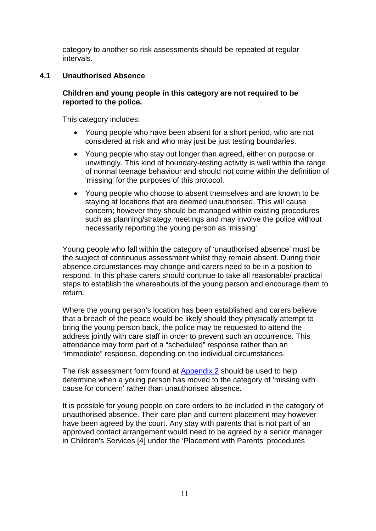category to another so risk assessments should be repeated at regular intervals.

## <span id="page-10-0"></span>**4.1 Unauthorised Absence**

## **Children and young people in this category are not required to be reported to the police.**

This category includes:

- Young people who have been absent for a short period, who are not considered at risk and who may just be just testing boundaries.
- Young people who stay out longer than agreed, either on purpose or unwittingly. This kind of boundary-testing activity is well within the range of normal teenage behaviour and should not come within the definition of 'missing' for the purposes of this protocol.
- Young people who choose to absent themselves and are known to be staying at locations that are deemed unauthorised. This will cause concern; however they should be managed within existing procedures such as planning/strategy meetings and may involve the police without necessarily reporting the young person as 'missing'.

Young people who fall within the category of 'unauthorised absence' must be the subject of continuous assessment whilst they remain absent. During their absence circumstances may change and carers need to be in a position to respond. In this phase carers should continue to take all reasonable/ practical steps to establish the whereabouts of the young person and encourage them to return.

Where the young person's location has been established and carers believe that a breach of the peace would be likely should they physically attempt to bring the young person back, the police may be requested to attend the address jointly with care staff in order to prevent such an occurrence. This attendance may form part of a "scheduled" response rather than an "immediate" response, depending on the individual circumstances.

The risk assessment form found at [Appendix 2](#page-25-1) should be used to help determine when a young person has moved to the category of 'missing with cause for concern' rather than unauthorised absence.

It is possible for young people on care orders to be included in the category of unauthorised absence. Their care plan and current placement may however have been agreed by the court. Any stay with parents that is not part of an approved contact arrangement would need to be agreed by a senior manager in Children's Services [4] under the 'Placement with Parents' procedures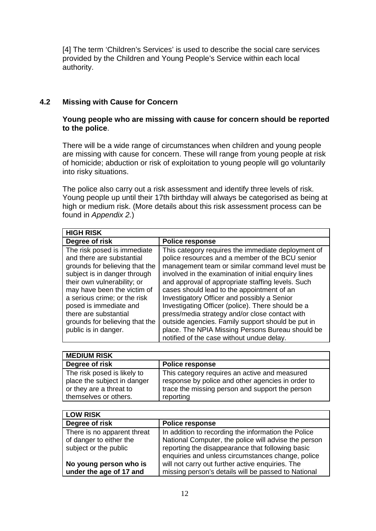[4] The term 'Children's Services' is used to describe the social care services provided by the Children and Young People's Service within each local authority.

## <span id="page-11-0"></span>**4.2 Missing with Cause for Concern**

## **Young people who are missing with cause for concern should be reported to the police**.

There will be a wide range of circumstances when children and young people are missing with cause for concern. These will range from young people at risk of homicide; abduction or risk of exploitation to young people will go voluntarily into risky situations.

The police also carry out a risk assessment and identify three levels of risk. Young people up until their 17th birthday will always be categorised as being at high or medium risk. (More details about this risk assessment process can be found in *Appendix 2.*)

| <b>HIGH RISK</b>                                                                                                                                                                                                                                                                                                                      |                                                                                                                                                                                                                                                                                                                                                                                                                                                                                                                                                                                                                                  |
|---------------------------------------------------------------------------------------------------------------------------------------------------------------------------------------------------------------------------------------------------------------------------------------------------------------------------------------|----------------------------------------------------------------------------------------------------------------------------------------------------------------------------------------------------------------------------------------------------------------------------------------------------------------------------------------------------------------------------------------------------------------------------------------------------------------------------------------------------------------------------------------------------------------------------------------------------------------------------------|
| Degree of risk                                                                                                                                                                                                                                                                                                                        | <b>Police response</b>                                                                                                                                                                                                                                                                                                                                                                                                                                                                                                                                                                                                           |
| The risk posed is immediate<br>and there are substantial<br>grounds for believing that the<br>subject is in danger through<br>their own vulnerability; or<br>may have been the victim of<br>a serious crime; or the risk<br>posed is immediate and<br>there are substantial<br>grounds for believing that the<br>public is in danger. | This category requires the immediate deployment of<br>police resources and a member of the BCU senior<br>management team or similar command level must be<br>involved in the examination of initial enquiry lines<br>and approval of appropriate staffing levels. Such<br>cases should lead to the appointment of an<br>Investigatory Officer and possibly a Senior<br>Investigating Officer (police). There should be a<br>press/media strategy and/or close contact with<br>outside agencies. Family support should be put in<br>place. The NPIA Missing Persons Bureau should be<br>notified of the case without undue delay. |

| <b>MEDIUM RISK</b>                                                                                             |                                                                                                                                                                    |
|----------------------------------------------------------------------------------------------------------------|--------------------------------------------------------------------------------------------------------------------------------------------------------------------|
| Degree of risk                                                                                                 | <b>Police response</b>                                                                                                                                             |
| The risk posed is likely to<br>place the subject in danger<br>or they are a threat to<br>themselves or others. | This category requires an active and measured<br>response by police and other agencies in order to<br>trace the missing person and support the person<br>reporting |

| <b>LOW RISK</b>                                                                 |                                                                                                                                                                                                                      |
|---------------------------------------------------------------------------------|----------------------------------------------------------------------------------------------------------------------------------------------------------------------------------------------------------------------|
| Degree of risk                                                                  | <b>Police response</b>                                                                                                                                                                                               |
| There is no apparent threat<br>of danger to either the<br>subject or the public | In addition to recording the information the Police<br>National Computer, the police will advise the person<br>reporting the disappearance that following basic<br>enquiries and unless circumstances change, police |
| No young person who is<br>under the age of 17 and                               | will not carry out further active enquiries. The<br>missing person's details will be passed to National                                                                                                              |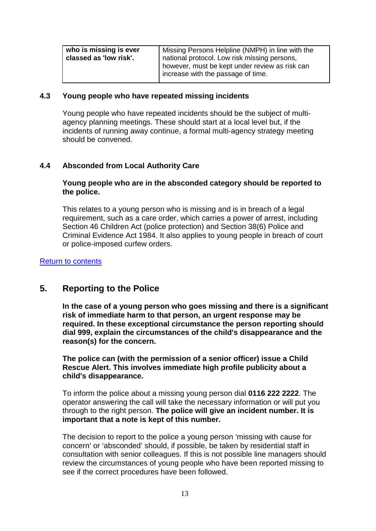| who is missing is ever<br>classed as 'low risk'. | Missing Persons Helpline (NMPH) in line with the<br>national protocol. Low risk missing persons,<br>however, must be kept under review as risk can |
|--------------------------------------------------|----------------------------------------------------------------------------------------------------------------------------------------------------|
|                                                  | increase with the passage of time.                                                                                                                 |

#### <span id="page-12-0"></span>**4.3 Young people who have repeated missing incidents**

Young people who have repeated incidents should be the subject of multiagency planning meetings. These should start at a local level but, if the incidents of running away continue, a formal multi-agency strategy meeting should be convened.

## <span id="page-12-1"></span>**4.4 Absconded from Local Authority Care**

#### **Young people who are in the absconded category should be reported to the police.**

This relates to a young person who is missing and is in breach of a legal requirement, such as a care order, which carries a power of arrest, including Section 46 Children Act (police protection) and Section 38(6) Police and Criminal Evidence Act 1984. It also applies to young people in breach of court or police-imposed curfew orders.

#### [Return to contents](#page-3-0)

# <span id="page-12-2"></span>**5. Reporting to the Police**

**In the case of a young person who goes missing and there is a significant risk of immediate harm to that person, an urgent response may be required. In these exceptional circumstance the person reporting should dial 999, explain the circumstances of the child's disappearance and the reason(s) for the concern.** 

**The police can (with the permission of a senior officer) issue a Child Rescue Alert. This involves immediate high profile publicity about a child's disappearance.** 

To inform the police about a missing young person dial **0116 222 2222**. The operator answering the call will take the necessary information or will put you through to the right person. **The police will give an incident number. It is important that a note is kept of this number.** 

The decision to report to the police a young person 'missing with cause for concern' or 'absconded' should, if possible, be taken by residential staff in consultation with senior colleagues. If this is not possible line managers should review the circumstances of young people who have been reported missing to see if the correct procedures have been followed.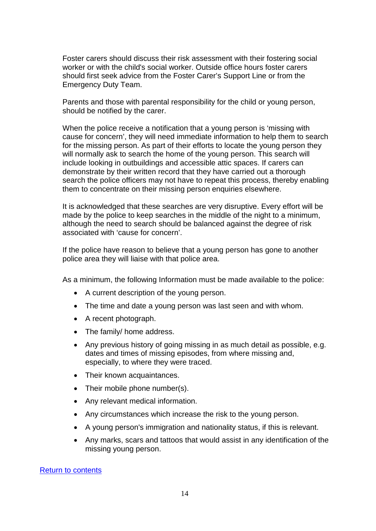Foster carers should discuss their risk assessment with their fostering social worker or with the child's social worker. Outside office hours foster carers should first seek advice from the Foster Carer's Support Line or from the Emergency Duty Team.

Parents and those with parental responsibility for the child or young person, should be notified by the carer.

When the police receive a notification that a young person is 'missing with cause for concern', they will need immediate information to help them to search for the missing person. As part of their efforts to locate the young person they will normally ask to search the home of the young person. This search will include looking in outbuildings and accessible attic spaces. If carers can demonstrate by their written record that they have carried out a thorough search the police officers may not have to repeat this process, thereby enabling them to concentrate on their missing person enquiries elsewhere.

It is acknowledged that these searches are very disruptive. Every effort will be made by the police to keep searches in the middle of the night to a minimum, although the need to search should be balanced against the degree of risk associated with 'cause for concern'.

If the police have reason to believe that a young person has gone to another police area they will liaise with that police area.

As a minimum, the following Information must be made available to the police:

- A current description of the young person.
- The time and date a young person was last seen and with whom.
- A recent photograph.
- The family/ home address.
- Any previous history of going missing in as much detail as possible, e.g. dates and times of missing episodes, from where missing and, especially, to where they were traced.
- Their known acquaintances.
- Their mobile phone number(s).
- Any relevant medical information.
- Any circumstances which increase the risk to the young person.
- A young person's immigration and nationality status, if this is relevant.
- Any marks, scars and tattoos that would assist in any identification of the missing young person.

#### [Return to contents](#page-3-0)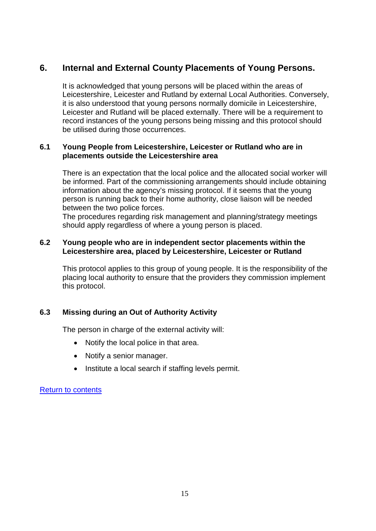# <span id="page-14-0"></span>**6. Internal and External County Placements of Young Persons.**

It is acknowledged that young persons will be placed within the areas of Leicestershire, Leicester and Rutland by external Local Authorities. Conversely, it is also understood that young persons normally domicile in Leicestershire, Leicester and Rutland will be placed externally. There will be a requirement to record instances of the young persons being missing and this protocol should be utilised during those occurrences.

## <span id="page-14-1"></span>**6.1 Young People from Leicestershire, Leicester or Rutland who are in placements outside the Leicestershire area**

There is an expectation that the local police and the allocated social worker will be informed. Part of the commissioning arrangements should include obtaining information about the agency's missing protocol. If it seems that the young person is running back to their home authority, close liaison will be needed between the two police forces.

The procedures regarding risk management and planning/strategy meetings should apply regardless of where a young person is placed.

## <span id="page-14-2"></span>**6.2 Young people who are in independent sector placements within the Leicestershire area, placed by Leicestershire, Leicester or Rutland**

This protocol applies to this group of young people. It is the responsibility of the placing local authority to ensure that the providers they commission implement this protocol.

## <span id="page-14-3"></span>**6.3 Missing during an Out of Authority Activity**

The person in charge of the external activity will:

- Notify the local police in that area.
- Notify a senior manager.
- Institute a local search if staffing levels permit.

## <span id="page-14-4"></span>[Return to contents](#page-3-0)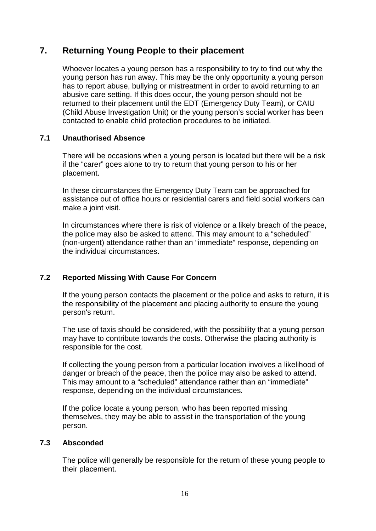# **7. Returning Young People to their placement**

Whoever locates a young person has a responsibility to try to find out why the young person has run away. This may be the only opportunity a young person has to report abuse, bullying or mistreatment in order to avoid returning to an abusive care setting. If this does occur, the young person should not be returned to their placement until the EDT (Emergency Duty Team), or CAIU (Child Abuse Investigation Unit) or the young person's social worker has been contacted to enable child protection procedures to be initiated.

## <span id="page-15-0"></span>**7.1 Unauthorised Absence**

There will be occasions when a young person is located but there will be a risk if the "carer" goes alone to try to return that young person to his or her placement.

In these circumstances the Emergency Duty Team can be approached for assistance out of office hours or residential carers and field social workers can make a joint visit.

In circumstances where there is risk of violence or a likely breach of the peace, the police may also be asked to attend. This may amount to a "scheduled" (non-urgent) attendance rather than an "immediate" response, depending on the individual circumstances.

## <span id="page-15-1"></span>**7.2 Reported Missing With Cause For Concern**

If the young person contacts the placement or the police and asks to return, it is the responsibility of the placement and placing authority to ensure the young person's return.

The use of taxis should be considered, with the possibility that a young person may have to contribute towards the costs. Otherwise the placing authority is responsible for the cost.

If collecting the young person from a particular location involves a likelihood of danger or breach of the peace, then the police may also be asked to attend. This may amount to a "scheduled" attendance rather than an "immediate" response, depending on the individual circumstances.

If the police locate a young person, who has been reported missing themselves, they may be able to assist in the transportation of the young person.

## <span id="page-15-2"></span>**7.3 Absconded**

The police will generally be responsible for the return of these young people to their placement.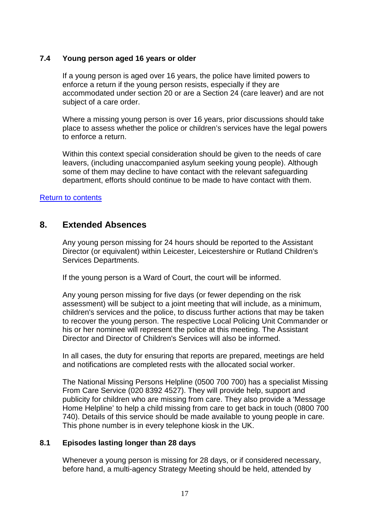## <span id="page-16-0"></span>**7.4 Young person aged 16 years or older**

If a young person is aged over 16 years, the police have limited powers to enforce a return if the young person resists, especially if they are accommodated under section 20 or are a Section 24 (care leaver) and are not subject of a care order.

Where a missing young person is over 16 years, prior discussions should take place to assess whether the police or children's services have the legal powers to enforce a return.

Within this context special consideration should be given to the needs of care leavers, (including unaccompanied asylum seeking young people). Although some of them may decline to have contact with the relevant safeguarding department, efforts should continue to be made to have contact with them.

## [Return to contents](#page-3-0)

# <span id="page-16-1"></span>**8. Extended Absences**

Any young person missing for 24 hours should be reported to the Assistant Director (or equivalent) within Leicester, Leicestershire or Rutland Children's Services Departments.

If the young person is a Ward of Court, the court will be informed.

Any young person missing for five days (or fewer depending on the risk assessment) will be subject to a joint meeting that will include, as a minimum, children's services and the police, to discuss further actions that may be taken to recover the young person. The respective Local Policing Unit Commander or his or her nominee will represent the police at this meeting. The Assistant Director and Director of Children's Services will also be informed.

In all cases, the duty for ensuring that reports are prepared, meetings are held and notifications are completed rests with the allocated social worker.

The National Missing Persons Helpline (0500 700 700) has a specialist Missing From Care Service (020 8392 4527). They will provide help, support and publicity for children who are missing from care. They also provide a 'Message Home Helpline' to help a child missing from care to get back in touch (0800 700 740). Details of this service should be made available to young people in care. This phone number is in every telephone kiosk in the UK.

## <span id="page-16-2"></span>**8.1 Episodes lasting longer than 28 days**

Whenever a young person is missing for 28 days, or if considered necessary, before hand, a multi-agency Strategy Meeting should be held, attended by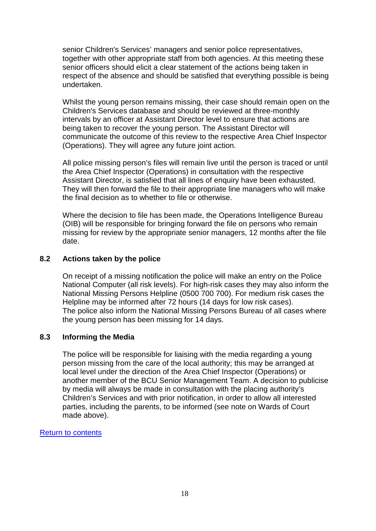senior Children's Services' managers and senior police representatives, together with other appropriate staff from both agencies. At this meeting these senior officers should elicit a clear statement of the actions being taken in respect of the absence and should be satisfied that everything possible is being undertaken.

Whilst the young person remains missing, their case should remain open on the Children's Services database and should be reviewed at three-monthly intervals by an officer at Assistant Director level to ensure that actions are being taken to recover the young person. The Assistant Director will communicate the outcome of this review to the respective Area Chief Inspector (Operations). They will agree any future joint action.

All police missing person's files will remain live until the person is traced or until the Area Chief Inspector (Operations) in consultation with the respective Assistant Director, is satisfied that all lines of enquiry have been exhausted. They will then forward the file to their appropriate line managers who will make the final decision as to whether to file or otherwise.

Where the decision to file has been made, the Operations Intelligence Bureau (OIB) will be responsible for bringing forward the file on persons who remain missing for review by the appropriate senior managers, 12 months after the file date.

## <span id="page-17-0"></span>**8.2 Actions taken by the police**

On receipt of a missing notification the police will make an entry on the Police National Computer (all risk levels). For high-risk cases they may also inform the National Missing Persons Helpline (0500 700 700). For medium risk cases the Helpline may be informed after 72 hours (14 days for low risk cases). The police also inform the National Missing Persons Bureau of all cases where the young person has been missing for 14 days.

## <span id="page-17-1"></span>**8.3 Informing the Media**

The police will be responsible for liaising with the media regarding a young person missing from the care of the local authority; this may be arranged at local level under the direction of the Area Chief Inspector (Operations) or another member of the BCU Senior Management Team. A decision to publicise by media will always be made in consultation with the placing authority's Children's Services and with prior notification, in order to allow all interested parties, including the parents, to be informed (see note on Wards of Court made above).

## <span id="page-17-2"></span>[Return to contents](#page-3-0)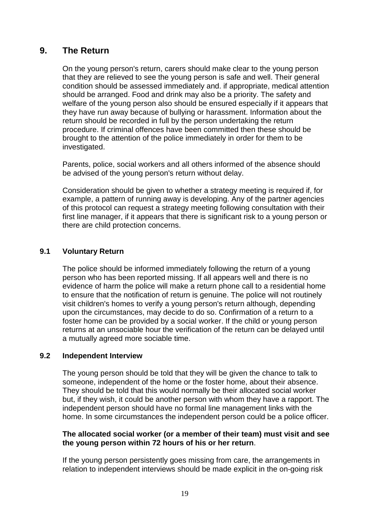# **9. The Return**

On the young person's return, carers should make clear to the young person that they are relieved to see the young person is safe and well. Their general condition should be assessed immediately and. if appropriate, medical attention should be arranged. Food and drink may also be a priority. The safety and welfare of the young person also should be ensured especially if it appears that they have run away because of bullying or harassment. Information about the return should be recorded in full by the person undertaking the return procedure. If criminal offences have been committed then these should be brought to the attention of the police immediately in order for them to be investigated.

Parents, police, social workers and all others informed of the absence should be advised of the young person's return without delay.

Consideration should be given to whether a strategy meeting is required if, for example, a pattern of running away is developing. Any of the partner agencies of this protocol can request a strategy meeting following consultation with their first line manager, if it appears that there is significant risk to a young person or there are child protection concerns.

## <span id="page-18-0"></span>**9.1 Voluntary Return**

The police should be informed immediately following the return of a young person who has been reported missing. If all appears well and there is no evidence of harm the police will make a return phone call to a residential home to ensure that the notification of return is genuine. The police will not routinely visit children's homes to verify a young person's return although, depending upon the circumstances, may decide to do so. Confirmation of a return to a foster home can be provided by a social worker. If the child or young person returns at an unsociable hour the verification of the return can be delayed until a mutually agreed more sociable time.

## <span id="page-18-1"></span>**9.2 Independent Interview**

The young person should be told that they will be given the chance to talk to someone, independent of the home or the foster home, about their absence. They should be told that this would normally be their allocated social worker but, if they wish, it could be another person with whom they have a rapport. The independent person should have no formal line management links with the home. In some circumstances the independent person could be a police officer.

#### **The allocated social worker (or a member of their team) must visit and see the young person within 72 hours of his or her return**.

If the young person persistently goes missing from care, the arrangements in relation to independent interviews should be made explicit in the on-going risk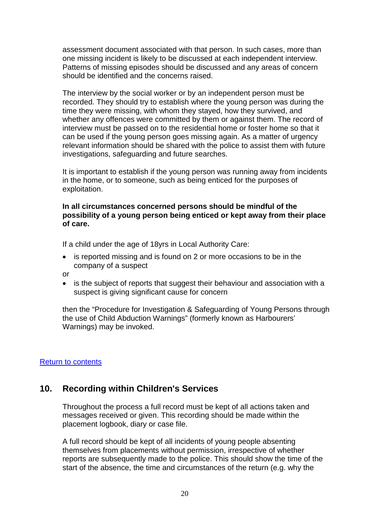assessment document associated with that person. In such cases, more than one missing incident is likely to be discussed at each independent interview. Patterns of missing episodes should be discussed and any areas of concern should be identified and the concerns raised.

The interview by the social worker or by an independent person must be recorded. They should try to establish where the young person was during the time they were missing, with whom they stayed, how they survived, and whether any offences were committed by them or against them. The record of interview must be passed on to the residential home or foster home so that it can be used if the young person goes missing again. As a matter of urgency relevant information should be shared with the police to assist them with future investigations, safeguarding and future searches.

It is important to establish if the young person was running away from incidents in the home, or to someone, such as being enticed for the purposes of exploitation.

#### **In all circumstances concerned persons should be mindful of the possibility of a young person being enticed or kept away from their place of care.**

If a child under the age of 18yrs in Local Authority Care:

- is reported missing and is found on 2 or more occasions to be in the company of a suspect
- or
- is the subject of reports that suggest their behaviour and association with a suspect is giving significant cause for concern

then the "Procedure for Investigation & Safeguarding of Young Persons through the use of Child Abduction Warnings" (formerly known as Harbourers' Warnings) may be invoked.

## [Return to contents](#page-3-0)

# <span id="page-19-0"></span>**10. Recording within Children's Services**

Throughout the process a full record must be kept of all actions taken and messages received or given. This recording should be made within the placement logbook, diary or case file.

A full record should be kept of all incidents of young people absenting themselves from placements without permission, irrespective of whether reports are subsequently made to the police. This should show the time of the start of the absence, the time and circumstances of the return (e.g. why the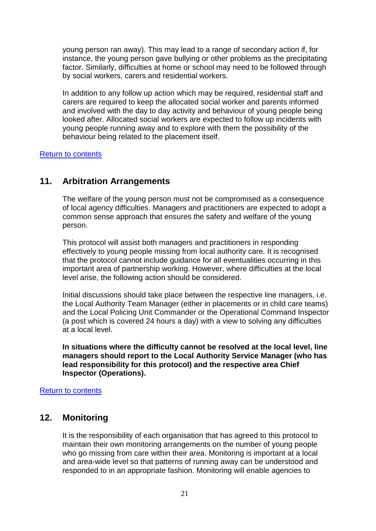young person ran away). This may lead to a range of secondary action if, for instance, the young person gave bullying or other problems as the precipitating factor. Similarly, difficulties at home or school may need to be followed through by social workers, carers and residential workers.

In addition to any follow up action which may be required, residential staff and carers are required to keep the allocated social worker and parents informed and involved with the day to day activity and behaviour of young people being looked after. Allocated social workers are expected to follow up incidents with young people running away and to explore with them the possibility of the behaviour being related to the placement itself.

**[Return to contents](#page-3-0)** 

# <span id="page-20-0"></span>**11. Arbitration Arrangements**

The welfare of the young person must not be compromised as a consequence of local agency difficulties. Managers and practitioners are expected to adopt a common sense approach that ensures the safety and welfare of the young person.

This protocol will assist both managers and practitioners in responding effectively to young people missing from local authority care. It is recognised that the protocol cannot include guidance for all eventualities occurring in this important area of partnership working. However, where difficulties at the local level arise, the following action should be considered.

Initial discussions should take place between the respective line managers, i.e. the Local Authority Team Manager (either in placements or in child care teams) and the Local Policing Unit Commander or the Operational Command Inspector (a post which is covered 24 hours a day) with a view to solving any difficulties at a local level.

**In situations where the difficulty cannot be resolved at the local level, line managers should report to the Local Authority Service Manager (who has lead responsibility for this protocol) and the respective area Chief Inspector (Operations).** 

## [Return to contents](#page-3-0)

# <span id="page-20-1"></span>**12. Monitoring**

It is the responsibility of each organisation that has agreed to this protocol to maintain their own monitoring arrangements on the number of young people who go missing from care within their area. Monitoring is important at a local and area-wide level so that patterns of running away can be understood and responded to in an appropriate fashion. Monitoring will enable agencies to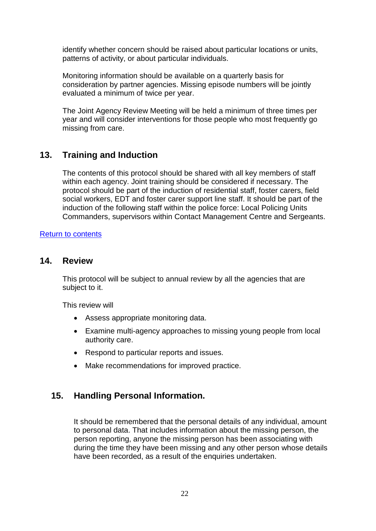identify whether concern should be raised about particular locations or units, patterns of activity, or about particular individuals.

Monitoring information should be available on a quarterly basis for consideration by partner agencies. Missing episode numbers will be jointly evaluated a minimum of twice per year.

The Joint Agency Review Meeting will be held a minimum of three times per year and will consider interventions for those people who most frequently go missing from care.

# <span id="page-21-0"></span>**13. Training and Induction**

The contents of this protocol should be shared with all key members of staff within each agency. Joint training should be considered if necessary. The protocol should be part of the induction of residential staff, foster carers, field social workers, EDT and foster carer support line staff. It should be part of the induction of the following staff within the police force: Local Policing Units Commanders, supervisors within Contact Management Centre and Sergeants.

## [Return to contents](#page-3-0)

## <span id="page-21-1"></span>**14. Review**

This protocol will be subject to annual review by all the agencies that are subject to it.

This review will

- Assess appropriate monitoring data.
- Examine multi-agency approaches to missing young people from local authority care.
- Respond to particular reports and issues.
- Make recommendations for improved practice.

# **15. Handling Personal Information.**

It should be remembered that the personal details of any individual, amount to personal data. That includes information about the missing person, the person reporting, anyone the missing person has been associating with during the time they have been missing and any other person whose details have been recorded, as a result of the enquiries undertaken.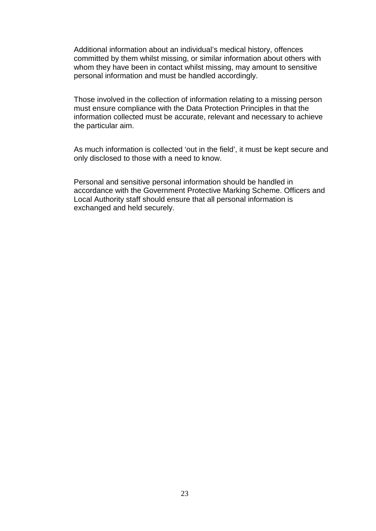Additional information about an individual's medical history, offences committed by them whilst missing, or similar information about others with whom they have been in contact whilst missing, may amount to sensitive personal information and must be handled accordingly.

Those involved in the collection of information relating to a missing person must ensure compliance with the Data Protection Principles in that the information collected must be accurate, relevant and necessary to achieve the particular aim.

As much information is collected 'out in the field', it must be kept secure and only disclosed to those with a need to know.

Personal and sensitive personal information should be handled in accordance with the Government Protective Marking Scheme. Officers and Local Authority staff should ensure that all personal information is exchanged and held securely.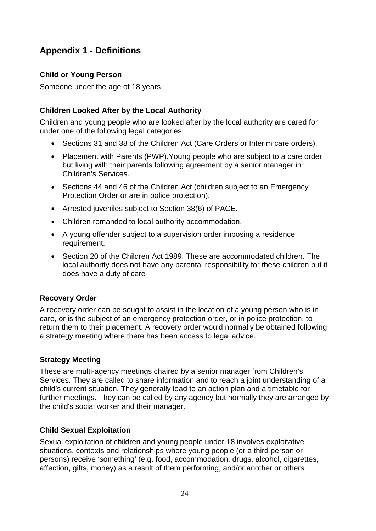# <span id="page-23-0"></span>**Appendix 1 - Definitions**

## **Child or Young Person**

Someone under the age of 18 years

## **Children Looked After by the Local Authority**

Children and young people who are looked after by the local authority are cared for under one of the following legal categories

- Sections 31 and 38 of the Children Act (Care Orders or Interim care orders).
- Placement with Parents (PWP).Young people who are subject to a care order but living with their parents following agreement by a senior manager in Children's Services.
- Sections 44 and 46 of the Children Act (children subject to an Emergency Protection Order or are in police protection).
- Arrested juveniles subject to Section 38(6) of PACE.
- Children remanded to local authority accommodation.
- A young offender subject to a supervision order imposing a residence requirement.
- Section 20 of the Children Act 1989. These are accommodated children. The local authority does not have any parental responsibility for these children but it does have a duty of care

## **Recovery Order**

A recovery order can be sought to assist in the location of a young person who is in care, or is the subject of an emergency protection order, or in police protection, to return them to their placement. A recovery order would normally be obtained following a strategy meeting where there has been access to legal advice.

## **Strategy Meeting**

These are multi-agency meetings chaired by a senior manager from Children's Services. They are called to share information and to reach a joint understanding of a child's current situation. They generally lead to an action plan and a timetable for further meetings. They can be called by any agency but normally they are arranged by the child's social worker and their manager.

## **Child Sexual Exploitation**

Sexual exploitation of children and young people under 18 involves exploitative situations, contexts and relationships where young people (or a third person or persons) receive 'something' (e.g. food, accommodation, drugs, alcohol, cigarettes, affection, gifts, money) as a result of them performing, and/or another or others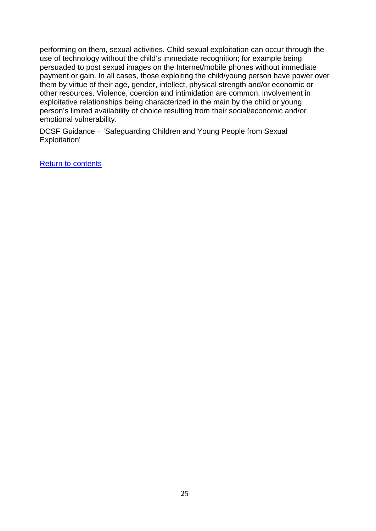performing on them, sexual activities. Child sexual exploitation can occur through the use of technology without the child's immediate recognition; for example being persuaded to post sexual images on the Internet/mobile phones without immediate payment or gain. In all cases, those exploiting the child/young person have power over them by virtue of their age, gender, intellect, physical strength and/or economic or other resources. Violence, coercion and intimidation are common, involvement in exploitative relationships being characterized in the main by the child or young person's limited availability of choice resulting from their social/economic and/or emotional vulnerability.

DCSF Guidance – 'Safeguarding Children and Young People from Sexual Exploitation'

[Return to contents](#page-3-0)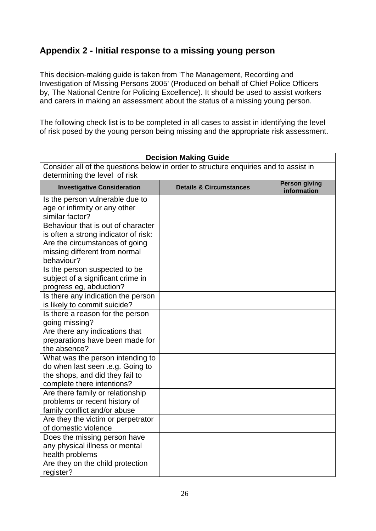# <span id="page-25-0"></span>**Appendix 2 - Initial response to a missing young person**

<span id="page-25-1"></span>This decision-making guide is taken from 'The Management, Recording and Investigation of Missing Persons 2005' (Produced on behalf of Chief Police Officers by, The National Centre for Policing Excellence). It should be used to assist workers and carers in making an assessment about the status of a missing young person.

The following check list is to be completed in all cases to assist in identifying the level of risk posed by the young person being missing and the appropriate risk assessment.

| <b>Decision Making Guide</b>                                                                                                                                |                                    |                                     |
|-------------------------------------------------------------------------------------------------------------------------------------------------------------|------------------------------------|-------------------------------------|
| Consider all of the questions below in order to structure enquiries and to assist in<br>determining the level of risk                                       |                                    |                                     |
| <b>Investigative Consideration</b>                                                                                                                          | <b>Details &amp; Circumstances</b> | <b>Person giving</b><br>information |
| Is the person vulnerable due to<br>age or infirmity or any other<br>similar factor?                                                                         |                                    |                                     |
| Behaviour that is out of character<br>is often a strong indicator of risk:<br>Are the circumstances of going<br>missing different from normal<br>behaviour? |                                    |                                     |
| Is the person suspected to be<br>subject of a significant crime in<br>progress eg, abduction?                                                               |                                    |                                     |
| Is there any indication the person<br>is likely to commit suicide?                                                                                          |                                    |                                     |
| Is there a reason for the person<br>going missing?                                                                                                          |                                    |                                     |
| Are there any indications that<br>preparations have been made for<br>the absence?                                                                           |                                    |                                     |
| What was the person intending to<br>do when last seen .e.g. Going to<br>the shops, and did they fail to<br>complete there intentions?                       |                                    |                                     |
| Are there family or relationship<br>problems or recent history of<br>family conflict and/or abuse                                                           |                                    |                                     |
| Are they the victim or perpetrator<br>of domestic violence                                                                                                  |                                    |                                     |
| Does the missing person have<br>any physical illness or mental<br>health problems                                                                           |                                    |                                     |
| Are they on the child protection<br>register?                                                                                                               |                                    |                                     |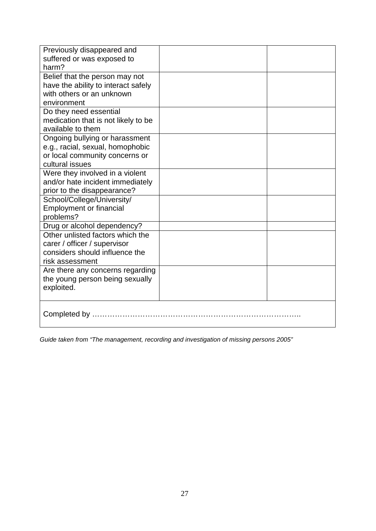| Previously disappeared and          |  |
|-------------------------------------|--|
| suffered or was exposed to          |  |
| harm?                               |  |
| Belief that the person may not      |  |
| have the ability to interact safely |  |
| with others or an unknown           |  |
| environment                         |  |
| Do they need essential              |  |
| medication that is not likely to be |  |
| available to them                   |  |
| Ongoing bullying or harassment      |  |
| e.g., racial, sexual, homophobic    |  |
| or local community concerns or      |  |
| cultural issues                     |  |
| Were they involved in a violent     |  |
| and/or hate incident immediately    |  |
| prior to the disappearance?         |  |
| School/College/University/          |  |
| <b>Employment or financial</b>      |  |
| problems?                           |  |
| Drug or alcohol dependency?         |  |
| Other unlisted factors which the    |  |
| carer / officer / supervisor        |  |
| considers should influence the      |  |
| risk assessment                     |  |
| Are there any concerns regarding    |  |
| the young person being sexually     |  |
| exploited.                          |  |
|                                     |  |
|                                     |  |
|                                     |  |
|                                     |  |

*Guide taken from "The management, recording and investigation of missing persons 2005"*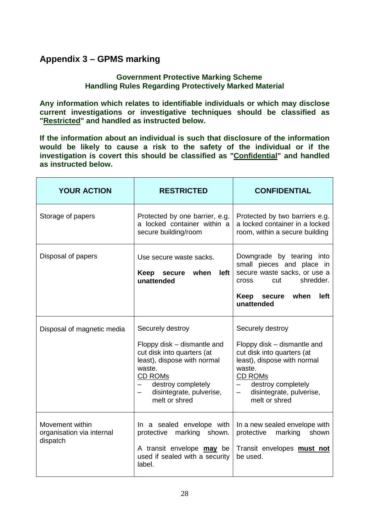# **Appendix 3 – GPMS marking**

## **Government Protective Marking Scheme Handling Rules Regarding Protectively Marked Material**

**Any information which relates to identifiable individuals or which may disclose current investigations or investigative techniques should be classified as "Restricted" and handled as instructed below.**

**If the information about an individual is such that disclosure of the information would be likely to cause a risk to the safety of the individual or if the investigation is covert this should be classified as "Confidential" and handled as instructed below.**

| <b>YOUR ACTION</b>                                       | <b>RESTRICTED</b>                                                                                                                                                                                             | <b>CONFIDENTIAL</b>                                                                                                                                                                                                                                          |
|----------------------------------------------------------|---------------------------------------------------------------------------------------------------------------------------------------------------------------------------------------------------------------|--------------------------------------------------------------------------------------------------------------------------------------------------------------------------------------------------------------------------------------------------------------|
| Storage of papers                                        | Protected by one barrier, e.g.<br>a locked container within a<br>secure building/room                                                                                                                         | Protected by two barriers e.g.<br>a locked container in a locked<br>room, within a secure building                                                                                                                                                           |
| Disposal of papers                                       | Use secure waste sacks.<br>when<br>left<br>Keep<br>secure<br>unattended                                                                                                                                       | Downgrade by tearing into<br>small pieces and place in<br>secure waste sacks, or use a<br>shredder.<br>cut<br><b>Cross</b><br>left<br>Keep secure<br>when<br>unattended                                                                                      |
| Disposal of magnetic media                               | Securely destroy<br>Floppy disk – dismantle and<br>cut disk into quarters (at<br>least), dispose with normal<br>waste.<br><b>CD ROMs</b><br>- destroy completely<br>disintegrate, pulverise,<br>melt or shred | Securely destroy<br>Floppy disk - dismantle and<br>cut disk into quarters (at<br>least), dispose with normal<br>waste.<br>CD ROMs<br>destroy completely<br>$\overline{\phantom{a}}$<br>disintegrate, pulverise,<br>$\overline{\phantom{0}}$<br>melt or shred |
| Movement within<br>organisation via internal<br>dispatch | In a sealed envelope with<br>protective marking shown.<br>A transit envelope may be<br>used if sealed with a security<br>label.                                                                               | In a new sealed envelope with<br>protective marking<br>shown<br>Transit envelopes must not<br>be used.                                                                                                                                                       |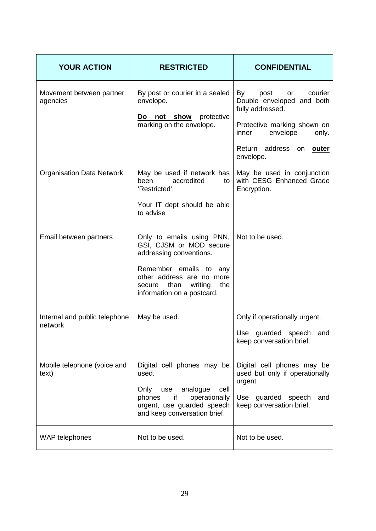| <b>YOUR ACTION</b>                       | <b>RESTRICTED</b>                                                                                                                                                                                     | <b>CONFIDENTIAL</b>                                                                                                                                                                                 |
|------------------------------------------|-------------------------------------------------------------------------------------------------------------------------------------------------------------------------------------------------------|-----------------------------------------------------------------------------------------------------------------------------------------------------------------------------------------------------|
| Movement between partner<br>agencies     | By post or courier in a sealed<br>envelope.<br>not show protective<br><u>Do</u><br>marking on the envelope.                                                                                           | By<br>post<br>courier<br>$\mathsf{or}$<br>Double enveloped and both<br>fully addressed.<br>Protective marking shown on<br>envelope<br>inner<br>only.<br>Return address on <b>outer</b><br>envelope. |
| <b>Organisation Data Network</b>         | May be used if network has<br>accredited<br>been<br>to l<br>'Restricted'.<br>Your IT dept should be able<br>to advise                                                                                 | May be used in conjunction<br>with CESG Enhanced Grade<br>Encryption.                                                                                                                               |
| Email between partners                   | Only to emails using PNN,<br>GSI, CJSM or MOD secure<br>addressing conventions.<br>Remember emails to any<br>other address are no more<br>secure than<br>writing<br>the<br>information on a postcard. | Not to be used.                                                                                                                                                                                     |
| Internal and public telephone<br>network | May be used.                                                                                                                                                                                          | Only if operationally urgent.<br>Use guarded speech and<br>keep conversation brief.                                                                                                                 |
| Mobile telephone (voice and<br>text)     | Digital cell phones may be<br>used.<br>Only use analogue<br>cell<br>if<br>operationally<br>phones<br>urgent, use guarded speech<br>and keep conversation brief.                                       | Digital cell phones may be<br>used but only if operationally<br>urgent<br>Use guarded speech<br>and<br>keep conversation brief.                                                                     |
| WAP telephones                           | Not to be used.                                                                                                                                                                                       | Not to be used.                                                                                                                                                                                     |